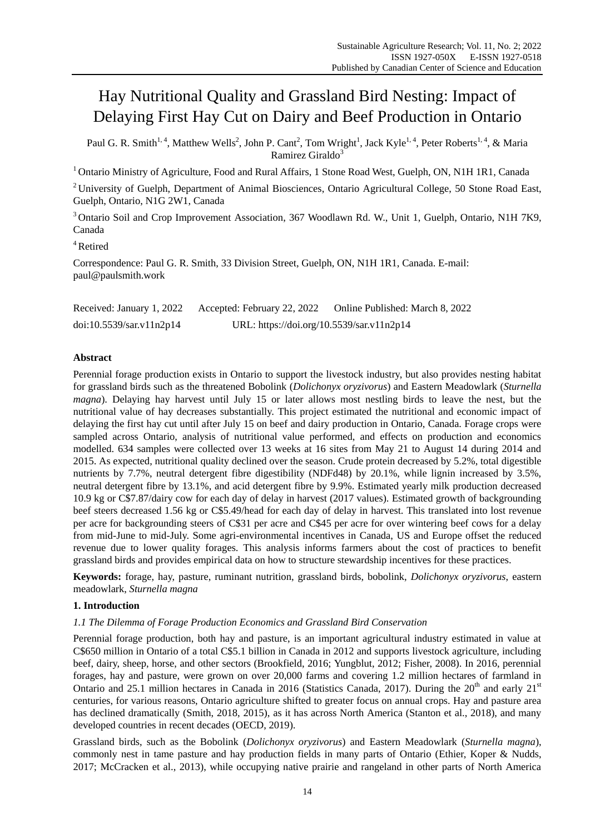# Hay Nutritional Quality and Grassland Bird Nesting: Impact of Delaying First Hay Cut on Dairy and Beef Production in Ontario

Paul G. R. Smith<sup>1, 4</sup>, Matthew Wells<sup>2</sup>, John P. Cant<sup>2</sup>, Tom Wright<sup>1</sup>, Jack Kyle<sup>1, 4</sup>, Peter Roberts<sup>1, 4</sup>, & Maria Ramirez Giraldo $3$ 

<sup>1</sup> Ontario Ministry of Agriculture, Food and Rural Affairs, 1 Stone Road West, Guelph, ON, N1H 1R1, Canada

<sup>2</sup> University of Guelph, Department of Animal Biosciences, Ontario Agricultural College, 50 Stone Road East, Guelph, Ontario, N1G 2W1, Canada

<sup>3</sup> Ontario Soil and Crop Improvement Association, 367 Woodlawn Rd. W., Unit 1, Guelph, Ontario, N1H 7K9, Canada

<sup>4</sup>Retired

Correspondence: Paul G. R. Smith, 33 Division Street, Guelph, ON, N1H 1R1, Canada. E-mail: paul@paulsmith.work

Received: January 1, 2022 Accepted: February 22, 2022 Online Published: March 8, 2022 doi:10.5539/sar.v11n2p14 URL: https://doi.org/10.5539/sar.v11n2p14

# **Abstract**

Perennial forage production exists in Ontario to support the livestock industry, but also provides nesting habitat for grassland birds such as the threatened Bobolink (*Dolichonyx oryzivorus*) and Eastern Meadowlark (*Sturnella magna*). Delaying hay harvest until July 15 or later allows most nestling birds to leave the nest, but the nutritional value of hay decreases substantially. This project estimated the nutritional and economic impact of delaying the first hay cut until after July 15 on beef and dairy production in Ontario, Canada. Forage crops were sampled across Ontario, analysis of nutritional value performed, and effects on production and economics modelled. 634 samples were collected over 13 weeks at 16 sites from May 21 to August 14 during 2014 and 2015. As expected, nutritional quality declined over the season. Crude protein decreased by 5.2%, total digestible nutrients by 7.7%, neutral detergent fibre digestibility (NDFd48) by 20.1%, while lignin increased by 3.5%, neutral detergent fibre by 13.1%, and acid detergent fibre by 9.9%. Estimated yearly milk production decreased 10.9 kg or C\$7.87/dairy cow for each day of delay in harvest (2017 values). Estimated growth of backgrounding beef steers decreased 1.56 kg or C\$5.49/head for each day of delay in harvest. This translated into lost revenue per acre for backgrounding steers of C\$31 per acre and C\$45 per acre for over wintering beef cows for a delay from mid-June to mid-July. Some agri-environmental incentives in Canada, US and Europe offset the reduced revenue due to lower quality forages. This analysis informs farmers about the cost of practices to benefit grassland birds and provides empirical data on how to structure stewardship incentives for these practices.

**Keywords:** forage, hay, pasture, ruminant nutrition, grassland birds, bobolink, *Dolichonyx oryzivorus*, eastern meadowlark, *Sturnella magna*

## **1. Introduction**

## *1.1 The Dilemma of Forage Production Economics and Grassland Bird Conservation*

Perennial forage production, both hay and pasture, is an important agricultural industry estimated in value at C\$650 million in Ontario of a total C\$5.1 billion in Canada in 2012 and supports livestock agriculture, including beef, dairy, sheep, horse, and other sectors (Brookfield, 2016; Yungblut, 2012; Fisher, 2008). In 2016, perennial forages, hay and pasture, were grown on over 20,000 farms and covering 1.2 million hectares of farmland in Ontario and 25.1 million hectares in Canada in 2016 (Statistics Canada, 2017). During the  $20^{th}$  and early  $21^{st}$ centuries, for various reasons, Ontario agriculture shifted to greater focus on annual crops. Hay and pasture area has declined dramatically (Smith, 2018, 2015), as it has across North America (Stanton et al., 2018), and many developed countries in recent decades (OECD, 2019).

Grassland birds, such as the Bobolink (*Dolichonyx oryzivorus*) and Eastern Meadowlark (*Sturnella magna*), commonly nest in tame pasture and hay production fields in many parts of Ontario (Ethier, Koper & Nudds, 2017; McCracken et al., 2013), while occupying native prairie and rangeland in other parts of North America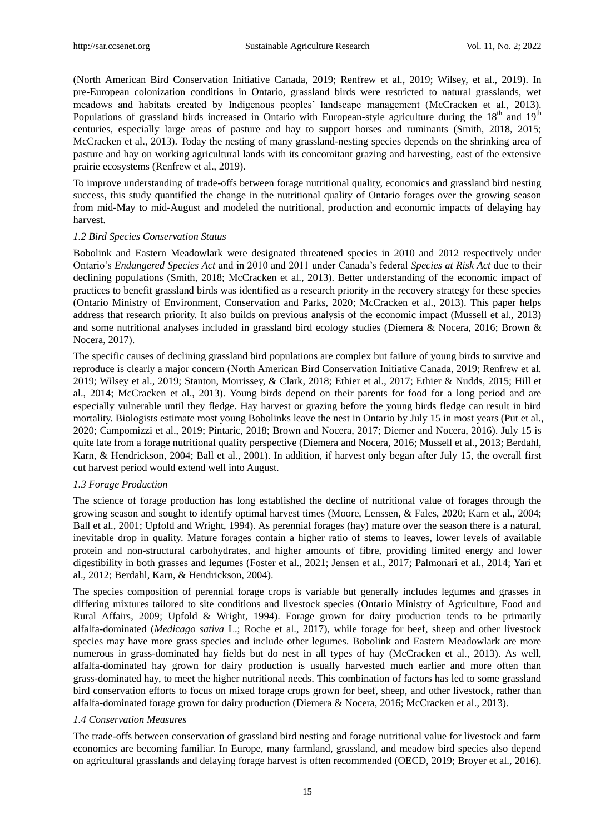(North American Bird Conservation Initiative Canada, 2019; Renfrew et al., 2019; Wilsey, et al., 2019). In pre-European colonization conditions in Ontario, grassland birds were restricted to natural grasslands, wet meadows and habitats created by Indigenous peoples' landscape management (McCracken et al., 2013). Populations of grassland birds increased in Ontario with European-style agriculture during the  $18<sup>th</sup>$  and  $19<sup>th</sup>$ centuries, especially large areas of pasture and hay to support horses and ruminants (Smith, 2018, 2015; McCracken et al., 2013). Today the nesting of many grassland-nesting species depends on the shrinking area of pasture and hay on working agricultural lands with its concomitant grazing and harvesting, east of the extensive prairie ecosystems (Renfrew et al., 2019).

To improve understanding of trade-offs between forage nutritional quality, economics and grassland bird nesting success, this study quantified the change in the nutritional quality of Ontario forages over the growing season from mid-May to mid-August and modeled the nutritional, production and economic impacts of delaying hay harvest.

#### *1.2 Bird Species Conservation Status*

Bobolink and Eastern Meadowlark were designated threatened species in 2010 and 2012 respectively under Ontario's *Endangered Species Act* and in 2010 and 2011 under Canada's federal *Species at Risk Act* due to their declining populations (Smith, 2018; McCracken et al., 2013). Better understanding of the economic impact of practices to benefit grassland birds was identified as a research priority in the recovery strategy for these species (Ontario Ministry of Environment, Conservation and Parks, 2020; McCracken et al., 2013). This paper helps address that research priority. It also builds on previous analysis of the economic impact (Mussell et al., 2013) and some nutritional analyses included in grassland bird ecology studies (Diemera & Nocera, 2016; Brown & Nocera, 2017).

The specific causes of declining grassland bird populations are complex but failure of young birds to survive and reproduce is clearly a major concern (North American Bird Conservation Initiative Canada, 2019; Renfrew et al. 2019; Wilsey et al., 2019; Stanton, Morrissey, & Clark, 2018; Ethier et al., 2017; Ethier & Nudds, 2015; Hill et al., 2014; McCracken et al., 2013). Young birds depend on their parents for food for a long period and are especially vulnerable until they fledge. Hay harvest or grazing before the young birds fledge can result in bird mortality. Biologists estimate most young Bobolinks leave the nest in Ontario by July 15 in most years (Put et al., 2020; Campomizzi et al., 2019; Pintaric, 2018; Brown and Nocera, 2017; Diemer and Nocera, 2016). July 15 is quite late from a forage nutritional quality perspective (Diemera and Nocera, 2016; Mussell et al., 2013; Berdahl, Karn, & Hendrickson, 2004; Ball et al., 2001). In addition, if harvest only began after July 15, the overall first cut harvest period would extend well into August.

#### *1.3 Forage Production*

The science of forage production has long established the decline of nutritional value of forages through the growing season and sought to identify optimal harvest times (Moore, Lenssen, & Fales, 2020; Karn et al., 2004; Ball et al., 2001; Upfold and Wright, 1994). As perennial forages (hay) mature over the season there is a natural, inevitable drop in quality. Mature forages contain a higher ratio of stems to leaves, lower levels of available protein and non-structural carbohydrates, and higher amounts of fibre, providing limited energy and lower digestibility in both grasses and legumes (Foster et al., 2021; Jensen et al., 2017; Palmonari et al., 2014; Yari et al., 2012; Berdahl, Karn, & Hendrickson, 2004).

The species composition of perennial forage crops is variable but generally includes legumes and grasses in differing mixtures tailored to site conditions and livestock species (Ontario Ministry of Agriculture, Food and Rural Affairs, 2009; Upfold & Wright, 1994). Forage grown for dairy production tends to be primarily alfalfa-dominated (*Medicago sativa* L.; Roche et al., 2017), while forage for beef, sheep and other livestock species may have more grass species and include other legumes. Bobolink and Eastern Meadowlark are more numerous in grass-dominated hay fields but do nest in all types of hay (McCracken et al., 2013). As well, alfalfa-dominated hay grown for dairy production is usually harvested much earlier and more often than grass-dominated hay, to meet the higher nutritional needs. This combination of factors has led to some grassland bird conservation efforts to focus on mixed forage crops grown for beef, sheep, and other livestock, rather than alfalfa-dominated forage grown for dairy production (Diemera & Nocera, 2016; McCracken et al., 2013).

## *1.4 Conservation Measures*

The trade-offs between conservation of grassland bird nesting and forage nutritional value for livestock and farm economics are becoming familiar. In Europe, many farmland, grassland, and meadow bird species also depend on agricultural grasslands and delaying forage harvest is often recommended (OECD, 2019; Broyer et al., 2016).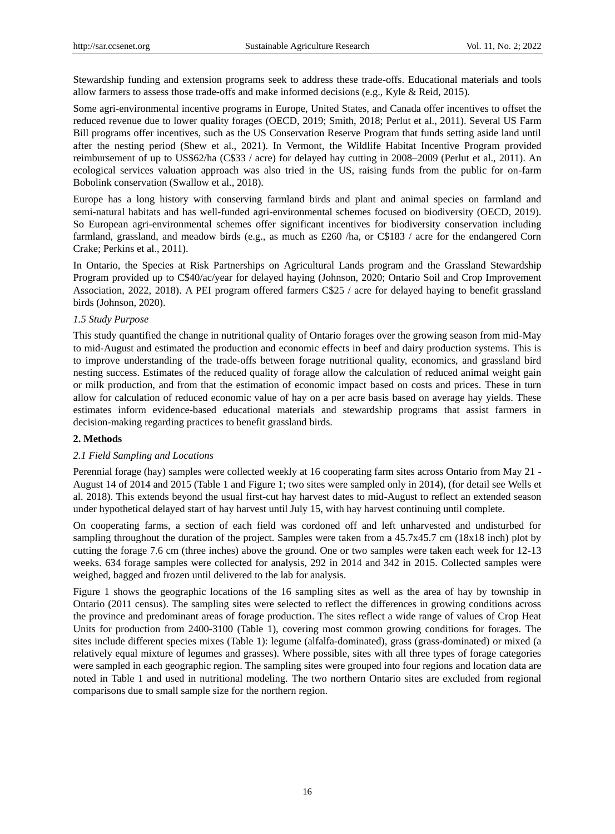Stewardship funding and extension programs seek to address these trade-offs. Educational materials and tools allow farmers to assess those trade-offs and make informed decisions (e.g., Kyle & Reid, 2015).

Some agri-environmental incentive programs in Europe, United States, and Canada offer incentives to offset the reduced revenue due to lower quality forages (OECD, 2019; Smith, 2018; Perlut et al., 2011). Several US Farm Bill programs offer incentives, such as the US Conservation Reserve Program that funds setting aside land until after the nesting period (Shew et al., 2021). In Vermont, the Wildlife Habitat Incentive Program provided reimbursement of up to US\$62/ha (C\$33 / acre) for delayed hay cutting in 2008–2009 (Perlut et al., 2011). An ecological services valuation approach was also tried in the US, raising funds from the public for on-farm Bobolink conservation (Swallow et al., 2018).

Europe has a long history with conserving farmland birds and plant and animal species on farmland and semi-natural habitats and has well-funded agri-environmental schemes focused on biodiversity (OECD, 2019). So European agri-environmental schemes offer significant incentives for biodiversity conservation including farmland, grassland, and meadow birds (e.g., as much as £260 /ha, or C\$183 / acre for the endangered Corn Crake; Perkins et al., 2011).

In Ontario, the Species at Risk Partnerships on Agricultural Lands program and the Grassland Stewardship Program provided up to C\$40/ac/year for delayed haying (Johnson, 2020; Ontario Soil and Crop Improvement Association, 2022, 2018). A PEI program offered farmers C\$25 / acre for delayed haying to benefit grassland birds (Johnson, 2020).

#### *1.5 Study Purpose*

This study quantified the change in nutritional quality of Ontario forages over the growing season from mid-May to mid-August and estimated the production and economic effects in beef and dairy production systems. This is to improve understanding of the trade-offs between forage nutritional quality, economics, and grassland bird nesting success. Estimates of the reduced quality of forage allow the calculation of reduced animal weight gain or milk production, and from that the estimation of economic impact based on costs and prices. These in turn allow for calculation of reduced economic value of hay on a per acre basis based on average hay yields. These estimates inform evidence-based educational materials and stewardship programs that assist farmers in decision-making regarding practices to benefit grassland birds.

## **2. Methods**

## *2.1 Field Sampling and Locations*

Perennial forage (hay) samples were collected weekly at 16 cooperating farm sites across Ontario from May 21 - August 14 of 2014 and 2015 (Table 1 and Figure 1; two sites were sampled only in 2014), (for detail see Wells et al. 2018). This extends beyond the usual first-cut hay harvest dates to mid-August to reflect an extended season under hypothetical delayed start of hay harvest until July 15, with hay harvest continuing until complete.

On cooperating farms, a section of each field was cordoned off and left unharvested and undisturbed for sampling throughout the duration of the project. Samples were taken from a 45.7x45.7 cm (18x18 inch) plot by cutting the forage 7.6 cm (three inches) above the ground. One or two samples were taken each week for 12-13 weeks. 634 forage samples were collected for analysis, 292 in 2014 and 342 in 2015. Collected samples were weighed, bagged and frozen until delivered to the lab for analysis.

Figure 1 shows the geographic locations of the 16 sampling sites as well as the area of hay by township in Ontario (2011 census). The sampling sites were selected to reflect the differences in growing conditions across the province and predominant areas of forage production. The sites reflect a wide range of values of Crop Heat Units for production from 2400-3100 (Table 1), covering most common growing conditions for forages. The sites include different species mixes (Table 1): legume (alfalfa-dominated), grass (grass-dominated) or mixed (a relatively equal mixture of legumes and grasses). Where possible, sites with all three types of forage categories were sampled in each geographic region. The sampling sites were grouped into four regions and location data are noted in Table 1 and used in nutritional modeling. The two northern Ontario sites are excluded from regional comparisons due to small sample size for the northern region.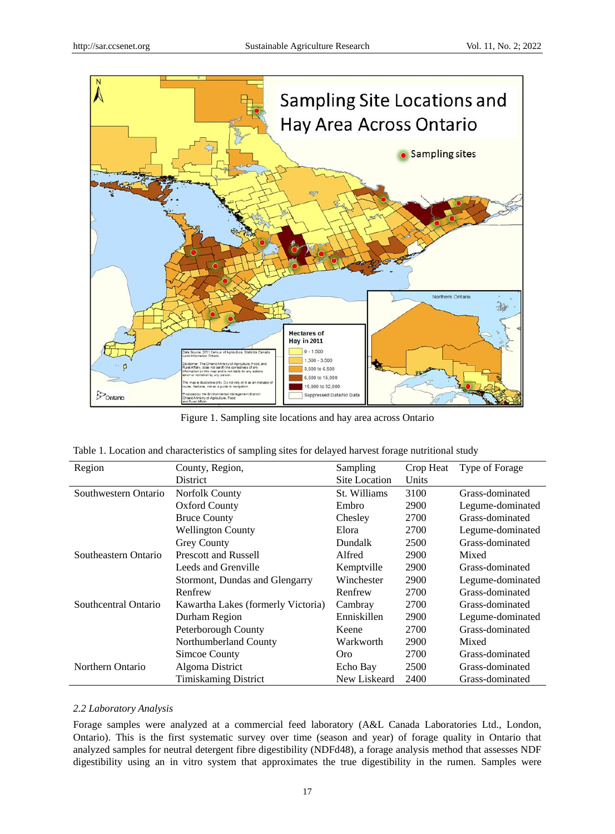

Figure 1. Sampling site locations and hay area across Ontario

|  |  |  |  |  | Table 1. Location and characteristics of sampling sites for delayed harvest forage nutritional study |  |  |
|--|--|--|--|--|------------------------------------------------------------------------------------------------------|--|--|
|  |  |  |  |  |                                                                                                      |  |  |

| Region                                 | County, Region,                    | Sampling      | Crop Heat | Type of Forage   |
|----------------------------------------|------------------------------------|---------------|-----------|------------------|
|                                        | District                           | Site Location | Units     |                  |
| Southwestern Ontario<br>Norfolk County |                                    | St. Williams  | 3100      | Grass-dominated  |
|                                        | <b>Oxford County</b>               | Embro         | 2900      | Legume-dominated |
|                                        | <b>Bruce County</b>                | Chesley       | 2700      | Grass-dominated  |
|                                        | <b>Wellington County</b>           | Elora         | 2700      | Legume-dominated |
|                                        | <b>Grey County</b>                 | Dundalk       | 2500      | Grass-dominated  |
| Southeastern Ontario                   | <b>Prescott and Russell</b>        | Alfred        | 2900      | Mixed            |
|                                        | Leeds and Grenville                | Kemptville    | 2900      | Grass-dominated  |
|                                        | Stormont, Dundas and Glengarry     | Winchester    | 2900      | Legume-dominated |
|                                        | Renfrew                            | Renfrew       | 2700      | Grass-dominated  |
| Southcentral Ontario                   | Kawartha Lakes (formerly Victoria) | Cambray       | 2700      | Grass-dominated  |
|                                        | Durham Region                      | Enniskillen   | 2900      | Legume-dominated |
|                                        | Peterborough County                | Keene         | 2700      | Grass-dominated  |
|                                        | Northumberland County              | Warkworth     | 2900      | Mixed            |
|                                        | Simcoe County                      | Oro.          | 2700      | Grass-dominated  |
| Northern Ontario                       | Algoma District                    | Echo Bay      | 2500      | Grass-dominated  |
|                                        | <b>Timiskaming District</b>        | New Liskeard  | 2400      | Grass-dominated  |

#### *2.2 Laboratory Analysis*

Forage samples were analyzed at a commercial feed laboratory (A&L Canada Laboratories Ltd., London, Ontario). This is the first systematic survey over time (season and year) of forage quality in Ontario that analyzed samples for neutral detergent fibre digestibility (NDFd48), a forage analysis method that assesses NDF digestibility using an in vitro system that approximates the true digestibility in the rumen. Samples were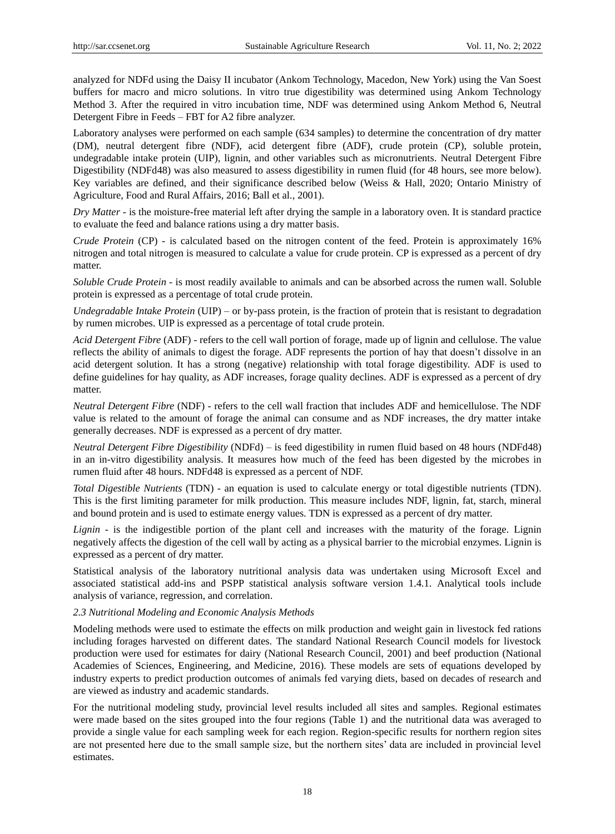analyzed for NDFd using the Daisy II incubator (Ankom Technology, Macedon, New York) using the Van Soest buffers for macro and micro solutions. In vitro true digestibility was determined using Ankom Technology Method 3. After the required in vitro incubation time, NDF was determined using Ankom Method 6, Neutral Detergent Fibre in Feeds – FBT for A2 fibre analyzer.

Laboratory analyses were performed on each sample (634 samples) to determine the concentration of dry matter (DM), neutral detergent fibre (NDF), acid detergent fibre (ADF), crude protein (CP), soluble protein, undegradable intake protein (UIP), lignin, and other variables such as micronutrients. Neutral Detergent Fibre Digestibility (NDFd48) was also measured to assess digestibility in rumen fluid (for 48 hours, see more below). Key variables are defined, and their significance described below (Weiss & Hall, 2020; Ontario Ministry of Agriculture, Food and Rural Affairs, 2016; Ball et al., 2001).

*Dry Matter* - is the moisture-free material left after drying the sample in a laboratory oven. It is standard practice to evaluate the feed and balance rations using a dry matter basis.

*Crude Protein* (CP) - is calculated based on the nitrogen content of the feed. Protein is approximately 16% nitrogen and total nitrogen is measured to calculate a value for crude protein. CP is expressed as a percent of dry matter.

*Soluble Crude Protein* - is most readily available to animals and can be absorbed across the rumen wall. Soluble protein is expressed as a percentage of total crude protein.

*Undegradable Intake Protein* (UIP) – or by-pass protein, is the fraction of protein that is resistant to degradation by rumen microbes. UIP is expressed as a percentage of total crude protein.

*Acid Detergent Fibre* (ADF) - refers to the cell wall portion of forage, made up of lignin and cellulose. The value reflects the ability of animals to digest the forage. ADF represents the portion of hay that doesn't dissolve in an acid detergent solution. It has a strong (negative) relationship with total forage digestibility. ADF is used to define guidelines for hay quality, as ADF increases, forage quality declines. ADF is expressed as a percent of dry matter.

*Neutral Detergent Fibre* (NDF) - refers to the cell wall fraction that includes ADF and hemicellulose. The NDF value is related to the amount of forage the animal can consume and as NDF increases, the dry matter intake generally decreases. NDF is expressed as a percent of dry matter.

*Neutral Detergent Fibre Digestibility* (NDFd) – is feed digestibility in rumen fluid based on 48 hours (NDFd48) in an in-vitro digestibility analysis. It measures how much of the feed has been digested by the microbes in rumen fluid after 48 hours. NDFd48 is expressed as a percent of NDF.

*Total Digestible Nutrients* (TDN) - an equation is used to calculate energy or total digestible nutrients (TDN). This is the first limiting parameter for milk production. This measure includes NDF, lignin, fat, starch, mineral and bound protein and is used to estimate energy values. TDN is expressed as a percent of dry matter.

*Lignin* - is the indigestible portion of the plant cell and increases with the maturity of the forage. Lignin negatively affects the digestion of the cell wall by acting as a physical barrier to the microbial enzymes. Lignin is expressed as a percent of dry matter.

Statistical analysis of the laboratory nutritional analysis data was undertaken using Microsoft Excel and associated statistical add-ins and PSPP statistical analysis software version 1.4.1. Analytical tools include analysis of variance, regression, and correlation.

## *2.3 Nutritional Modeling and Economic Analysis Methods*

Modeling methods were used to estimate the effects on milk production and weight gain in livestock fed rations including forages harvested on different dates. The standard National Research Council models for livestock production were used for estimates for dairy (National Research Council, 2001) and beef production (National Academies of Sciences, Engineering, and Medicine, 2016). These models are sets of equations developed by industry experts to predict production outcomes of animals fed varying diets, based on decades of research and are viewed as industry and academic standards.

For the nutritional modeling study, provincial level results included all sites and samples. Regional estimates were made based on the sites grouped into the four regions (Table 1) and the nutritional data was averaged to provide a single value for each sampling week for each region. Region-specific results for northern region sites are not presented here due to the small sample size, but the northern sites' data are included in provincial level estimates.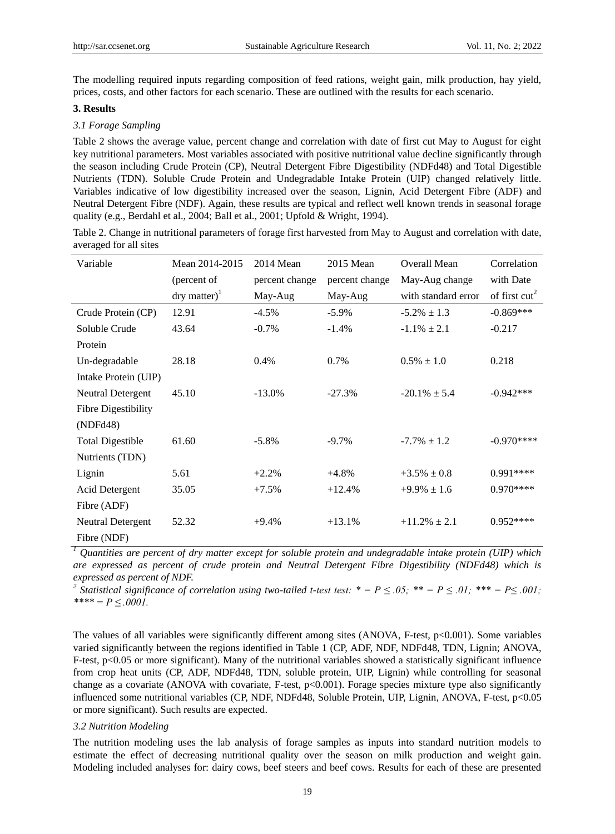The modelling required inputs regarding composition of feed rations, weight gain, milk production, hay yield, prices, costs, and other factors for each scenario. These are outlined with the results for each scenario.

#### **3. Results**

#### *3.1 Forage Sampling*

Table 2 shows the average value, percent change and correlation with date of first cut May to August for eight key nutritional parameters. Most variables associated with positive nutritional value decline significantly through the season including Crude Protein (CP), Neutral Detergent Fibre Digestibility (NDFd48) and Total Digestible Nutrients (TDN). Soluble Crude Protein and Undegradable Intake Protein (UIP) changed relatively little. Variables indicative of low digestibility increased over the season, Lignin, Acid Detergent Fibre (ADF) and Neutral Detergent Fibre (NDF). Again, these results are typical and reflect well known trends in seasonal forage quality (e.g., Berdahl et al., 2004; Ball et al., 2001; Upfold & Wright, 1994).

Table 2. Change in nutritional parameters of forage first harvested from May to August and correlation with date, averaged for all sites

| Variable                 | Mean 2014-2015                   | 2014 Mean      | 2015 Mean      | Overall Mean        | Correlation     |
|--------------------------|----------------------------------|----------------|----------------|---------------------|-----------------|
|                          | (percent of                      | percent change | percent change | May-Aug change      | with Date       |
|                          | $\text{dry matter}$ <sup>1</sup> | May-Aug        | May-Aug        | with standard error | of first $cut2$ |
| Crude Protein (CP)       | 12.91                            | $-4.5\%$       | $-5.9\%$       | $-5.2\% \pm 1.3$    | $-0.869***$     |
| Soluble Crude            | 43.64                            | $-0.7\%$       | $-1.4%$        | $-1.1\% \pm 2.1$    | $-0.217$        |
| Protein                  |                                  |                |                |                     |                 |
| Un-degradable            | 28.18                            | 0.4%           | 0.7%           | $0.5\% \pm 1.0$     | 0.218           |
| Intake Protein (UIP)     |                                  |                |                |                     |                 |
| <b>Neutral Detergent</b> | 45.10                            | $-13.0%$       | $-27.3%$       | $-20.1\% \pm 5.4$   | $-0.942***$     |
| Fibre Digestibility      |                                  |                |                |                     |                 |
| (NDFd48)                 |                                  |                |                |                     |                 |
| <b>Total Digestible</b>  | 61.60                            | $-5.8\%$       | $-9.7\%$       | $-7.7\% \pm 1.2$    | $-0.970***$     |
| Nutrients (TDN)          |                                  |                |                |                     |                 |
| Lignin                   | 5.61                             | $+2.2%$        | $+4.8%$        | $+3.5\% \pm 0.8$    | $0.991***$      |
| <b>Acid Detergent</b>    | 35.05                            | $+7.5%$        | $+12.4%$       | $+9.9\% \pm 1.6$    | $0.970***$      |
| Fibre (ADF)              |                                  |                |                |                     |                 |
| Neutral Detergent        | 52.32                            | $+9.4%$        | $+13.1%$       | $+11.2\% \pm 2.1$   | $0.952***$      |
| Fibre (NDF)              |                                  |                |                |                     |                 |

*<sup>1</sup> Quantities are percent of dry matter except for soluble protein and undegradable intake protein (UIP) which are expressed as percent of crude protein and Neutral Detergent Fibre Digestibility (NDFd48) which is expressed as percent of NDF.*

<sup>2</sup> Statistical significance of correlation using two-tailed t-test test:  $* = P \le 0.05$ ;  $** = P \le 0.01$ ;  $*** = P \le 0.001$ ; *\*\*\*\* = P ≤ .0001.*

The values of all variables were significantly different among sites (ANOVA, F-test, p<0.001). Some variables varied significantly between the regions identified in Table 1 (CP, ADF, NDF, NDFd48, TDN, Lignin; ANOVA, F-test, p<0.05 or more significant). Many of the nutritional variables showed a statistically significant influence from crop heat units (CP, ADF, NDFd48, TDN, soluble protein, UIP, Lignin) while controlling for seasonal change as a covariate (ANOVA with covariate, F-test, p<0.001). Forage species mixture type also significantly influenced some nutritional variables (CP, NDF, NDFd48, Soluble Protein, UIP, Lignin, ANOVA, F-test, p<0.05 or more significant). Such results are expected.

#### *3.2 Nutrition Modeling*

The nutrition modeling uses the lab analysis of forage samples as inputs into standard nutrition models to estimate the effect of decreasing nutritional quality over the season on milk production and weight gain. Modeling included analyses for: dairy cows, beef steers and beef cows. Results for each of these are presented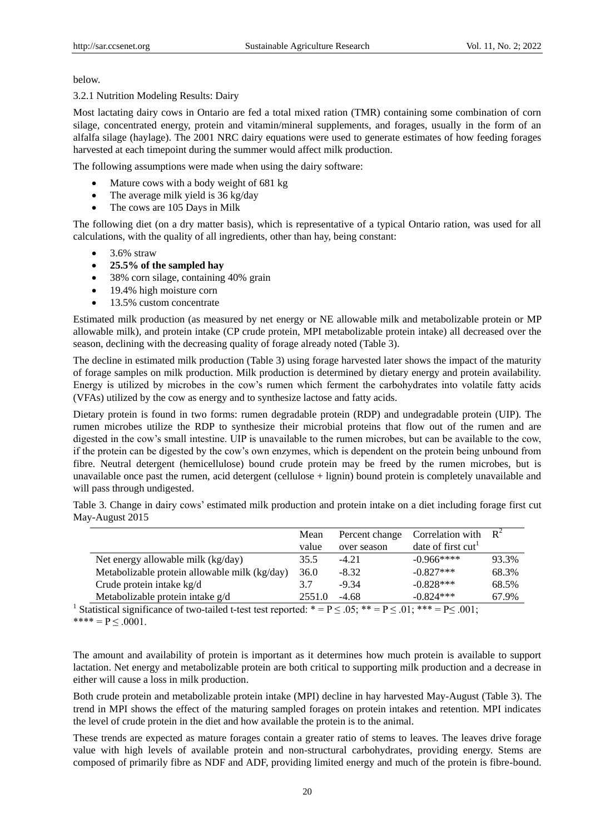below.

3.2.1 Nutrition Modeling Results: Dairy

Most lactating dairy cows in Ontario are fed a total mixed ration (TMR) containing some combination of corn silage, concentrated energy, protein and vitamin/mineral supplements, and forages, usually in the form of an alfalfa silage (haylage). The 2001 NRC dairy equations were used to generate estimates of how feeding forages harvested at each timepoint during the summer would affect milk production.

The following assumptions were made when using the dairy software:

- Mature cows with a body weight of 681 kg
- The average milk yield is 36 kg/day
- The cows are 105 Days in Milk

The following diet (on a dry matter basis), which is representative of a typical Ontario ration, was used for all calculations, with the quality of all ingredients, other than hay, being constant:

- $\bullet$  3.6% straw
- **25.5% of the sampled hay**
- 38% corn silage, containing 40% grain
- 19.4% high moisture corn
- 13.5% custom concentrate

Estimated milk production (as measured by net energy or NE allowable milk and metabolizable protein or MP allowable milk), and protein intake (CP crude protein, MPI metabolizable protein intake) all decreased over the season, declining with the decreasing quality of forage already noted (Table 3).

The decline in estimated milk production (Table 3) using forage harvested later shows the impact of the maturity of forage samples on milk production. Milk production is determined by dietary energy and protein availability. Energy is utilized by microbes in the cow's rumen which ferment the carbohydrates into volatile fatty acids (VFAs) utilized by the cow as energy and to synthesize lactose and fatty acids.

Dietary protein is found in two forms: rumen degradable protein (RDP) and undegradable protein (UIP). The rumen microbes utilize the RDP to synthesize their microbial proteins that flow out of the rumen and are digested in the cow's small intestine. UIP is unavailable to the rumen microbes, but can be available to the cow, if the protein can be digested by the cow's own enzymes, which is dependent on the protein being unbound from fibre. Neutral detergent (hemicellulose) bound crude protein may be freed by the rumen microbes, but is unavailable once past the rumen, acid detergent (cellulose + lignin) bound protein is completely unavailable and will pass through undigested.

Table 3. Change in dairy cows' estimated milk production and protein intake on a diet including forage first cut May-August 2015

|                                               | Mean   | Percent change | Correlation with               | $R^2$ |
|-----------------------------------------------|--------|----------------|--------------------------------|-------|
|                                               | value  | over season    | date of first cut <sup>1</sup> |       |
| Net energy allowable milk (kg/day)            | 35.5   | $-4.21$        | $-0.966***$                    | 93.3% |
| Metabolizable protein allowable milk (kg/day) | 36.0   | $-8.32$        | $-0.827***$                    | 68.3% |
| Crude protein intake kg/d                     | 3.7    | $-9.34$        | $-0.828***$                    | 68.5% |
| Metabolizable protein intake g/d              | 2551.0 | $-4.68$        | $-0.824***$                    | 67.9% |

<sup>1</sup> Statistical significance of two-tailed t-test test reported: \* = P  $\leq$  .05; \*\* = P  $\leq$  .01; \*\*\* = P  $\leq$  .001; \*\*\*\* =  $P \le 0.0001$ .

The amount and availability of protein is important as it determines how much protein is available to support lactation. Net energy and metabolizable protein are both critical to supporting milk production and a decrease in either will cause a loss in milk production.

Both crude protein and metabolizable protein intake (MPI) decline in hay harvested May-August (Table 3). The trend in MPI shows the effect of the maturing sampled forages on protein intakes and retention. MPI indicates the level of crude protein in the diet and how available the protein is to the animal.

These trends are expected as mature forages contain a greater ratio of stems to leaves. The leaves drive forage value with high levels of available protein and non-structural carbohydrates, providing energy. Stems are composed of primarily fibre as NDF and ADF, providing limited energy and much of the protein is fibre-bound.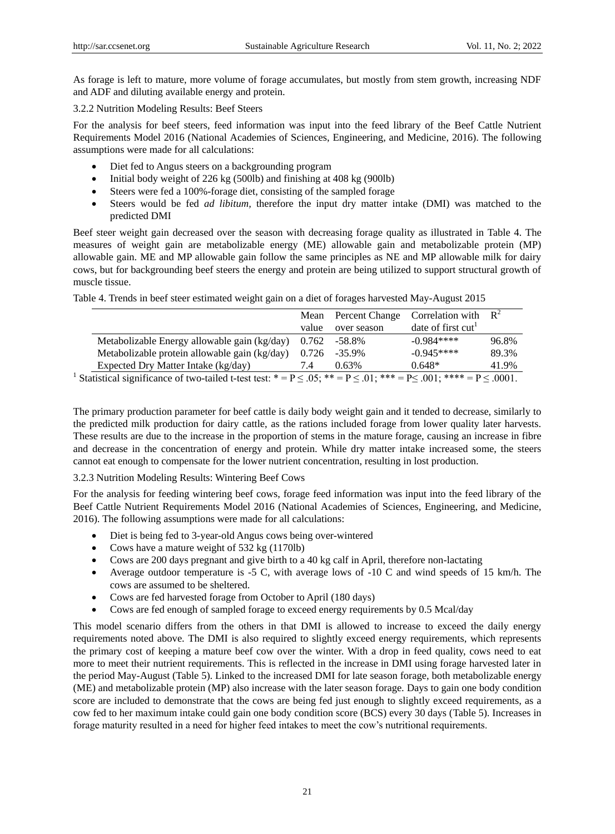As forage is left to mature, more volume of forage accumulates, but mostly from stem growth, increasing NDF and ADF and diluting available energy and protein.

3.2.2 Nutrition Modeling Results: Beef Steers

For the analysis for beef steers, feed information was input into the feed library of the Beef Cattle Nutrient Requirements Model 2016 (National Academies of Sciences, Engineering, and Medicine, 2016). The following assumptions were made for all calculations:

- Diet fed to Angus steers on a backgrounding program
- Initial body weight of 226 kg (500lb) and finishing at 408 kg (900lb)
- Steers were fed a 100%-forage diet, consisting of the sampled forage
- Steers would be fed *ad libitum,* therefore the input dry matter intake (DMI) was matched to the predicted DMI

Beef steer weight gain decreased over the season with decreasing forage quality as illustrated in Table 4. The measures of weight gain are metabolizable energy (ME) allowable gain and metabolizable protein (MP) allowable gain. ME and MP allowable gain follow the same principles as NE and MP allowable milk for dairy cows, but for backgrounding beef steers the energy and protein are being utilized to support structural growth of muscle tissue.

|                                                                                                                                   | Mean  | Percent Change   | Correlation with  | $R^2$ |
|-----------------------------------------------------------------------------------------------------------------------------------|-------|------------------|-------------------|-------|
|                                                                                                                                   | value | over season      | date of first cut |       |
| Metabolizable Energy allowable gain (kg/day)                                                                                      | 0.762 | -58.8%           | $-0.984***$       | 96.8% |
| Metabolizable protein allowable gain (kg/day)                                                                                     |       | $0.726 - 35.9\%$ | $-0.945***$       | 89.3% |
| Expected Dry Matter Intake (kg/day)                                                                                               | 7.4   | 0.63%            | $0.648*$          | 41.9% |
| Statistical significance of two-tailed t-test test: $* = P \lt 0.5$ . $** = P \lt 0.1$ . $*** = P \lt 0.01$ . $*** = P \lt 0.001$ |       |                  |                   |       |

Table 4. Trends in beef steer estimated weight gain on a diet of forages harvested May-August 2015

<sup>1</sup> Statistical significance of two-tailed t-test test: \* = P  $\leq .05$ ; \*\* = P  $\leq .01$ ; \*\*\* = P  $\leq .001$ ; \*\*\*\* = P  $\leq .0001$ .

The primary production parameter for beef cattle is daily body weight gain and it tended to decrease, similarly to the predicted milk production for dairy cattle, as the rations included forage from lower quality later harvests. These results are due to the increase in the proportion of stems in the mature forage, causing an increase in fibre and decrease in the concentration of energy and protein. While dry matter intake increased some, the steers cannot eat enough to compensate for the lower nutrient concentration, resulting in lost production.

3.2.3 Nutrition Modeling Results: Wintering Beef Cows

For the analysis for feeding wintering beef cows, forage feed information was input into the feed library of the Beef Cattle Nutrient Requirements Model 2016 (National Academies of Sciences, Engineering, and Medicine, 2016). The following assumptions were made for all calculations:

- Diet is being fed to 3-year-old Angus cows being over-wintered
- Cows have a mature weight of  $532 \text{ kg}$  (1170lb)
- Cows are 200 days pregnant and give birth to a 40 kg calf in April, therefore non-lactating
- Average outdoor temperature is  $-5$  C, with average lows of  $-10$  C and wind speeds of 15 km/h. The cows are assumed to be sheltered.
- Cows are fed harvested forage from October to April (180 days)
- Cows are fed enough of sampled forage to exceed energy requirements by 0.5 Mcal/day

This model scenario differs from the others in that DMI is allowed to increase to exceed the daily energy requirements noted above. The DMI is also required to slightly exceed energy requirements, which represents the primary cost of keeping a mature beef cow over the winter. With a drop in feed quality, cows need to eat more to meet their nutrient requirements. This is reflected in the increase in DMI using forage harvested later in the period May-August (Table 5). Linked to the increased DMI for late season forage, both metabolizable energy (ME) and metabolizable protein (MP) also increase with the later season forage. Days to gain one body condition score are included to demonstrate that the cows are being fed just enough to slightly exceed requirements, as a cow fed to her maximum intake could gain one body condition score (BCS) every 30 days (Table 5). Increases in forage maturity resulted in a need for higher feed intakes to meet the cow's nutritional requirements.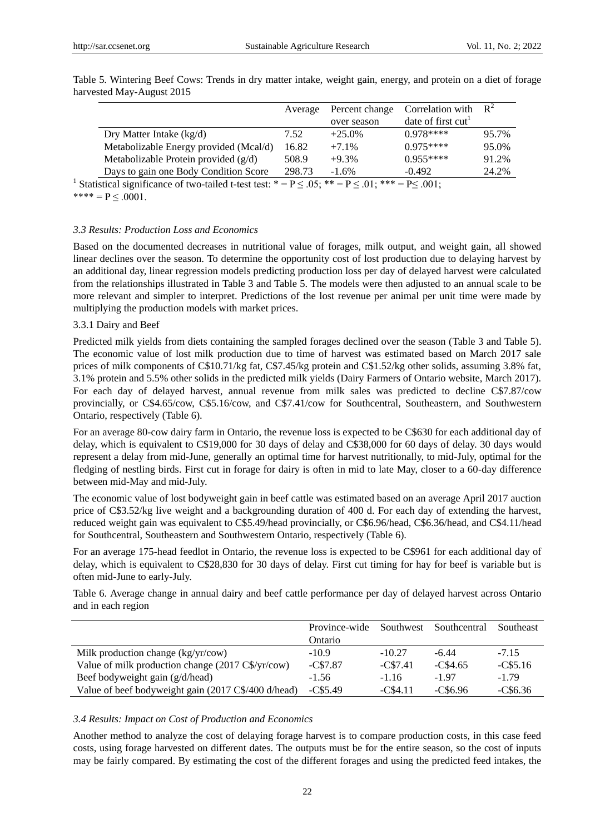|                                                                                                                                                                                                                                                                                                                                 | Average | Percent change | Correlation with               | $R^2$ |
|---------------------------------------------------------------------------------------------------------------------------------------------------------------------------------------------------------------------------------------------------------------------------------------------------------------------------------|---------|----------------|--------------------------------|-------|
|                                                                                                                                                                                                                                                                                                                                 |         | over season    | date of first cut <sup>1</sup> |       |
| Dry Matter Intake $(kg/d)$                                                                                                                                                                                                                                                                                                      | 7.52    | $+25.0%$       | $0.978***$                     | 95.7% |
| Metabolizable Energy provided (Mcal/d)                                                                                                                                                                                                                                                                                          | 16.82   | $+7.1%$        | $0.975***$                     | 95.0% |
| Metabolizable Protein provided $(g/d)$                                                                                                                                                                                                                                                                                          | 508.9   | $+9.3%$        | $0.955***$                     | 91.2% |
| Days to gain one Body Condition Score                                                                                                                                                                                                                                                                                           | 298.73  | $-1.6%$        | $-0.492$                       | 24.2% |
| $\mathcal{C}$ . The set of $\mathcal{C}$ , $\mathcal{C}$ , $\mathcal{C}$ , $\mathcal{C}$ , $\mathcal{C}$ , $\mathcal{C}$ , $\mathcal{C}$ , $\mathcal{C}$ , $\mathcal{C}$ , $\mathcal{C}$ , $\mathcal{C}$ , $\mathcal{C}$ , $\mathcal{C}$ , $\mathcal{C}$ , $\mathcal{C}$ , $\mathcal{C}$ , $\mathcal{C}$ , $\mathcal{C}$ ,<br>. |         | مله مله مله    | $R \times 0.01$                |       |

Table 5. Wintering Beef Cows: Trends in dry matter intake, weight gain, energy, and protein on a diet of forage harvested May-August 2015

<sup>1</sup> Statistical significance of two-tailed t-test test: \* =  $P \le 0.05$ ; \*\* =  $P \le 0.01$ ; \*\*\* =  $P \le 0.01$ ; \*\*\*\* =  $P < 0.0001$ .

#### *3.3 Results: Production Loss and Economics*

Based on the documented decreases in nutritional value of forages, milk output, and weight gain, all showed linear declines over the season. To determine the opportunity cost of lost production due to delaying harvest by an additional day, linear regression models predicting production loss per day of delayed harvest were calculated from the relationships illustrated in Table 3 and Table 5. The models were then adjusted to an annual scale to be more relevant and simpler to interpret. Predictions of the lost revenue per animal per unit time were made by multiplying the production models with market prices.

#### 3.3.1 Dairy and Beef

Predicted milk yields from diets containing the sampled forages declined over the season (Table 3 and Table 5). The economic value of lost milk production due to time of harvest was estimated based on March 2017 sale prices of milk components of C\$10.71/kg fat, C\$7.45/kg protein and C\$1.52/kg other solids, assuming 3.8% fat, 3.1% protein and 5.5% other solids in the predicted milk yields (Dairy Farmers of Ontario website, March 2017). For each day of delayed harvest, annual revenue from milk sales was predicted to decline C\$7.87/cow provincially, or C\$4.65/cow, C\$5.16/cow, and C\$7.41/cow for Southcentral, Southeastern, and Southwestern Ontario, respectively (Table 6).

For an average 80-cow dairy farm in Ontario, the revenue loss is expected to be C\$630 for each additional day of delay, which is equivalent to C\$19,000 for 30 days of delay and C\$38,000 for 60 days of delay. 30 days would represent a delay from mid-June, generally an optimal time for harvest nutritionally, to mid-July, optimal for the fledging of nestling birds. First cut in forage for dairy is often in mid to late May, closer to a 60-day difference between mid-May and mid-July.

The economic value of lost bodyweight gain in beef cattle was estimated based on an average April 2017 auction price of C\$3.52/kg live weight and a backgrounding duration of 400 d. For each day of extending the harvest, reduced weight gain was equivalent to C\$5.49/head provincially, or C\$6.96/head, C\$6.36/head, and C\$4.11/head for Southcentral, Southeastern and Southwestern Ontario, respectively (Table 6).

For an average 175-head feedlot in Ontario, the revenue loss is expected to be C\$961 for each additional day of delay, which is equivalent to C\$28,830 for 30 days of delay. First cut timing for hay for beef is variable but is often mid-June to early-July.

Table 6. Average change in annual dairy and beef cattle performance per day of delayed harvest across Ontario and in each region

|                                                     | Province-wide | Southwest | Southcentral | Southeast |
|-----------------------------------------------------|---------------|-----------|--------------|-----------|
|                                                     | Ontario       |           |              |           |
| Milk production change (kg/yr/cow)                  | $-10.9$       | $-10.27$  | $-6.44$      | $-7.15$   |
| Value of milk production change (2017 C\$/yr/cow)   | $-C$7.87$     | $-C$7.41$ | $-C$4.65$    | $-C$5.16$ |
| Beef bodyweight gain (g/d/head)                     | $-1.56$       | $-1.16$   | $-1.97$      | $-1.79$   |
| Value of beef bodyweight gain (2017 C\$/400 d/head) | $-C$5.49$     | $-C$4.11$ | $-C$6.96$    | $-C$6.36$ |

#### *3.4 Results: Impact on Cost of Production and Economics*

Another method to analyze the cost of delaying forage harvest is to compare production costs, in this case feed costs, using forage harvested on different dates. The outputs must be for the entire season, so the cost of inputs may be fairly compared. By estimating the cost of the different forages and using the predicted feed intakes, the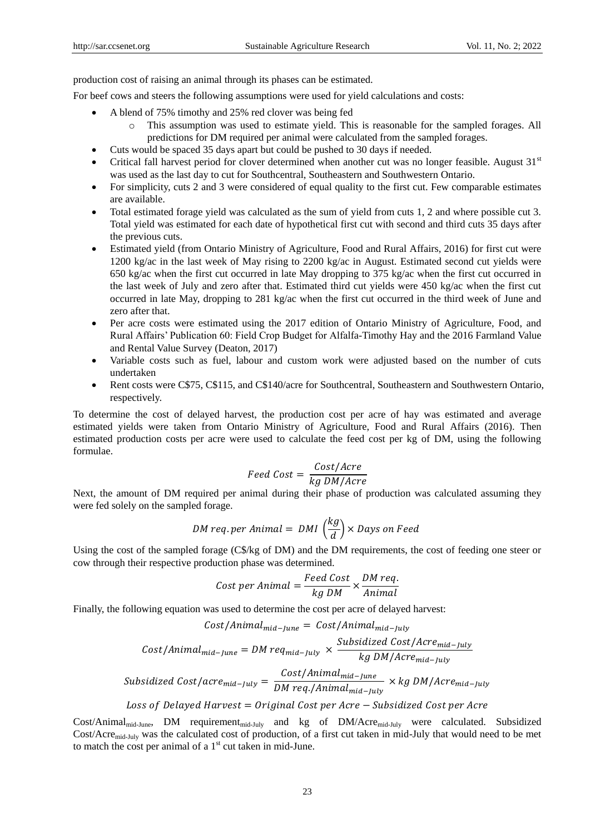production cost of raising an animal through its phases can be estimated.

For beef cows and steers the following assumptions were used for yield calculations and costs:

- A blend of 75% timothy and 25% red clover was being fed
	- o This assumption was used to estimate yield. This is reasonable for the sampled forages. All predictions for DM required per animal were calculated from the sampled forages.
- Cuts would be spaced 35 days apart but could be pushed to 30 days if needed.
- Critical fall harvest period for clover determined when another cut was no longer feasible. August  $31<sup>st</sup>$ was used as the last day to cut for Southcentral, Southeastern and Southwestern Ontario.
- For simplicity, cuts 2 and 3 were considered of equal quality to the first cut. Few comparable estimates are available.
- Total estimated forage yield was calculated as the sum of yield from cuts 1, 2 and where possible cut 3. Total yield was estimated for each date of hypothetical first cut with second and third cuts 35 days after the previous cuts.
- Estimated yield (from Ontario Ministry of Agriculture, Food and Rural Affairs, 2016) for first cut were 1200 kg/ac in the last week of May rising to 2200 kg/ac in August. Estimated second cut yields were 650 kg/ac when the first cut occurred in late May dropping to 375 kg/ac when the first cut occurred in the last week of July and zero after that. Estimated third cut yields were 450 kg/ac when the first cut occurred in late May, dropping to 281 kg/ac when the first cut occurred in the third week of June and zero after that.
- Per acre costs were estimated using the 2017 edition of Ontario Ministry of Agriculture, Food, and Rural Affairs' Publication 60: Field Crop Budget for Alfalfa-Timothy Hay and the 2016 Farmland Value and Rental Value Survey (Deaton, 2017)
- Variable costs such as fuel, labour and custom work were adjusted based on the number of cuts undertaken
- Rent costs were C\$75, C\$115, and C\$140/acre for Southcentral, Southeastern and Southwestern Ontario, respectively.

To determine the cost of delayed harvest, the production cost per acre of hay was estimated and average estimated yields were taken from Ontario Ministry of Agriculture, Food and Rural Affairs (2016). Then estimated production costs per acre were used to calculate the feed cost per kg of DM, using the following formulae.

$$
Feed \; Cost = \frac{Cost/Arc}{kg \; DM/Arcr}
$$

Next, the amount of DM required per animal during their phase of production was calculated assuming they were fed solely on the sampled forage.

$$
DM \text{ req. per Animal} = \text{DMI} \left(\frac{kg}{d}\right) \times \text{Days on Feed}
$$

Using the cost of the sampled forage (C\$/kg of DM) and the DM requirements, the cost of feeding one steer or cow through their respective production phase was determined.

Cost per Animal = 
$$
\frac{Feed \ Cost}{kg \ DM} \times \frac{DM \ req.}{Animal}
$$

Finally, the following equation was used to determine the cost per acre of delayed harvest:

$$
Cost/Animal_{mid-June} = Cost/Animal_{mid-July}
$$
  

$$
Cost/Animal_{mid-June} = DM \text{ reg}_{mid-July} \times \frac{Subsidized \text{ Cost/Arcmid-July} }{kg \text{ DM/Arcmid-July} }
$$
  

$$
Subsidized \text{ Cost/acrmid-July } = \frac{Cost/Animal_{mid-June}}{DM \text{ req.}/Animal_{mid-July} } \times kg \text{ DM/Arcmid-July } \times kg \text{ DM/Arcmid-July } \times kg \text{ DM/Arcmid-July } \times kg \text{ DM/Arcmid-July } \times kg \text{ DM/Arcmid-July } \times kg \text{ DM/Arcmid-July } \times kg \text{ DM/Arcmid-July } \times g \text{ DM/Accmid-July } \times g \text{ DM/Accmid-July } \times g \text{ DM/Accmid-July } \times g \text{ DM/Accmid-July } \times g \text{ DM/Accmid-July } \times g \text{ DM/Accmid-July } \times g \text{ DM/Accmid-July } \times g \text{ DM/Accmid-July } \times g \text{ DM/Accmid-July } \times g \text{ DM/Accmid-July } \times g \text{ DM/Accmid-July } \times g \text{ DM/Accmid-July } \times g \text{ DM/Accmid-July } \times g \text{ DM/Accmid-July } \times g \text{ DM/Accmid-July } \times g \text{ DM/Accmid-July } \times g \text{ DM/Accmid-July } \times g \text{ DM/Accmid-July }
$$

Loss of Delayed Harvest = Original Cost per Acre  $-$  Subsidized Cost per Acre

Cost/Animalmid-June, DM requirementmid-July and kg of DM/Acremid-July were calculated. Subsidized Cost/Acremid-July was the calculated cost of production, of a first cut taken in mid-July that would need to be met to match the cost per animal of a  $1<sup>st</sup>$  cut taken in mid-June.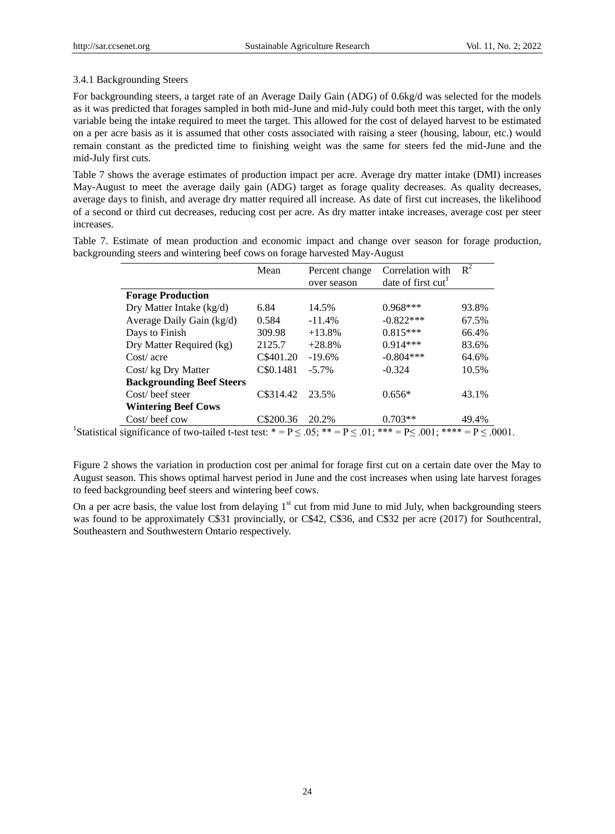#### 3.4.1 Backgrounding Steers

For backgrounding steers, a target rate of an Average Daily Gain (ADG) of 0.6kg/d was selected for the models as it was predicted that forages sampled in both mid-June and mid-July could both meet this target, with the only variable being the intake required to meet the target. This allowed for the cost of delayed harvest to be estimated on a per acre basis as it is assumed that other costs associated with raising a steer (housing, labour, etc.) would remain constant as the predicted time to finishing weight was the same for steers fed the mid-June and the mid-July first cuts.

Table 7 shows the average estimates of production impact per acre. Average dry matter intake (DMI) increases May-August to meet the average daily gain (ADG) target as forage quality decreases. As quality decreases, average days to finish, and average dry matter required all increase. As date of first cut increases, the likelihood of a second or third cut decreases, reducing cost per acre. As dry matter intake increases, average cost per steer increases.

Table 7. Estimate of mean production and economic impact and change over season for forage production, backgrounding steers and wintering beef cows on forage harvested May-August

|                                  | Mean      | Percent change | Correlation with  | $R^2$ |
|----------------------------------|-----------|----------------|-------------------|-------|
|                                  |           | over season    | date of first cut |       |
| <b>Forage Production</b>         |           |                |                   |       |
| Dry Matter Intake (kg/d)         | 6.84      | 14.5%          | $0.968***$        | 93.8% |
| Average Daily Gain (kg/d)        | 0.584     | $-11.4%$       | $-0.822***$       | 67.5% |
| Days to Finish                   | 309.98    | $+13.8%$       | $0.815***$        | 66.4% |
| Dry Matter Required (kg)         | 2125.7    | $+28.8%$       | $0.914***$        | 83.6% |
| $Cost/ \, acre$                  | C\$401.20 | $-19.6%$       | $-0.804***$       | 64.6% |
| Cost/kg Dry Matter               | C\$0.1481 | $-5.7\%$       | $-0.324$          | 10.5% |
| <b>Backgrounding Beef Steers</b> |           |                |                   |       |
| Cost/ beef steer                 | C\$314.42 | 23.5%          | $0.656*$          | 43.1% |
| <b>Wintering Beef Cows</b>       |           |                |                   |       |
| Cost/ beef cow                   | C\$200.36 | 20.2%          | $0.703**$         | 49.4% |

<sup>1</sup>Statistical significance of two-tailed t-test test: \* = P  $\leq$  .05; \*\* = P  $\leq$  .01; \*\*\* = P  $\leq$  .001; \*\*\*\* = P  $\leq$  .0001.

Figure 2 shows the variation in production cost per animal for forage first cut on a certain date over the May to August season. This shows optimal harvest period in June and the cost increases when using late harvest forages to feed backgrounding beef steers and wintering beef cows.

On a per acre basis, the value lost from delaying  $1<sup>st</sup>$  cut from mid June to mid July, when backgrounding steers was found to be approximately C\$31 provincially, or C\$42, C\$36, and C\$32 per acre (2017) for Southcentral, Southeastern and Southwestern Ontario respectively.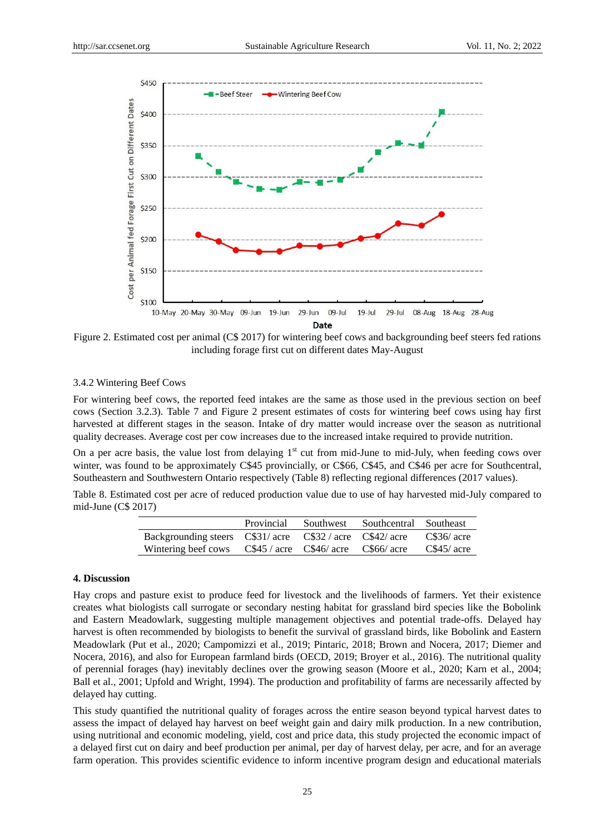

Figure 2. Estimated cost per animal (C\$ 2017) for wintering beef cows and backgrounding beef steers fed rations including forage first cut on different dates May-August

#### 3.4.2 Wintering Beef Cows

For wintering beef cows, the reported feed intakes are the same as those used in the previous section on beef cows (Section 3.2.3). Table 7 and Figure 2 present estimates of costs for wintering beef cows using hay first harvested at different stages in the season. Intake of dry matter would increase over the season as nutritional quality decreases. Average cost per cow increases due to the increased intake required to provide nutrition.

On a per acre basis, the value lost from delaying  $1<sup>st</sup>$  cut from mid-June to mid-July, when feeding cows over winter, was found to be approximately C\$45 provincially, or C\$66, C\$45, and C\$46 per acre for Southcentral, Southeastern and Southwestern Ontario respectively (Table 8) reflecting regional differences (2017 values).

Table 8. Estimated cost per acre of reduced production value due to use of hay harvested mid-July compared to mid-June (C\$ 2017)

|                                                          | Provincial | Southwest                                                       | Southcentral Southeast |              |
|----------------------------------------------------------|------------|-----------------------------------------------------------------|------------------------|--------------|
| Backgrounding steers C\$31/ acre C\$32/ acre C\$42/ acre |            |                                                                 |                        | $CS36/$ acre |
| Wintering beef cows                                      |            | $CS45 / \text{acre}$ $CS46 / \text{ acre}$ $CS66 / \text{acre}$ |                        | $CS45/$ acre |

#### **4. Discussion**

Hay crops and pasture exist to produce feed for livestock and the livelihoods of farmers. Yet their existence creates what biologists call surrogate or secondary nesting habitat for grassland bird species like the Bobolink and Eastern Meadowlark, suggesting multiple management objectives and potential trade-offs. Delayed hay harvest is often recommended by biologists to benefit the survival of grassland birds, like Bobolink and Eastern Meadowlark (Put et al., 2020; Campomizzi et al., 2019; Pintaric, 2018; Brown and Nocera, 2017; Diemer and Nocera, 2016), and also for European farmland birds (OECD, 2019; Broyer et al., 2016). The nutritional quality of perennial forages (hay) inevitably declines over the growing season (Moore et al., 2020; Karn et al., 2004; Ball et al., 2001; Upfold and Wright, 1994). The production and profitability of farms are necessarily affected by delayed hay cutting.

This study quantified the nutritional quality of forages across the entire season beyond typical harvest dates to assess the impact of delayed hay harvest on beef weight gain and dairy milk production. In a new contribution, using nutritional and economic modeling, yield, cost and price data, this study projected the economic impact of a delayed first cut on dairy and beef production per animal, per day of harvest delay, per acre, and for an average farm operation. This provides scientific evidence to inform incentive program design and educational materials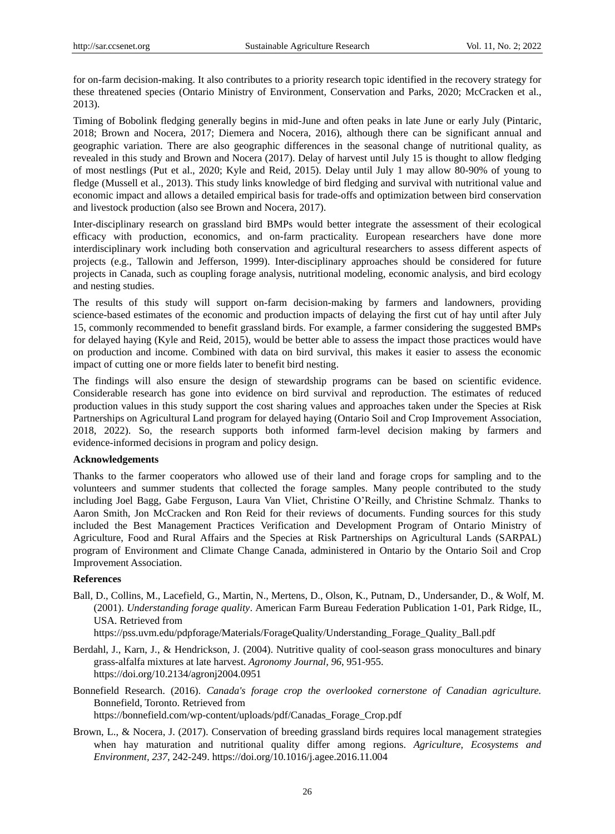for on-farm decision-making. It also contributes to a priority research topic identified in the recovery strategy for these threatened species (Ontario Ministry of Environment, Conservation and Parks, 2020; McCracken et al., 2013).

Timing of Bobolink fledging generally begins in mid-June and often peaks in late June or early July (Pintaric, 2018; Brown and Nocera, 2017; Diemera and Nocera, 2016), although there can be significant annual and geographic variation. There are also geographic differences in the seasonal change of nutritional quality, as revealed in this study and Brown and Nocera (2017). Delay of harvest until July 15 is thought to allow fledging of most nestlings (Put et al., 2020; Kyle and Reid, 2015). Delay until July 1 may allow 80-90% of young to fledge (Mussell et al., 2013). This study links knowledge of bird fledging and survival with nutritional value and economic impact and allows a detailed empirical basis for trade-offs and optimization between bird conservation and livestock production (also see Brown and Nocera, 2017).

Inter-disciplinary research on grassland bird BMPs would better integrate the assessment of their ecological efficacy with production, economics, and on-farm practicality. European researchers have done more interdisciplinary work including both conservation and agricultural researchers to assess different aspects of projects (e.g., Tallowin and Jefferson, 1999). Inter-disciplinary approaches should be considered for future projects in Canada, such as coupling forage analysis, nutritional modeling, economic analysis, and bird ecology and nesting studies.

The results of this study will support on-farm decision-making by farmers and landowners, providing science-based estimates of the economic and production impacts of delaying the first cut of hay until after July 15, commonly recommended to benefit grassland birds. For example, a farmer considering the suggested BMPs for delayed haying (Kyle and Reid, 2015), would be better able to assess the impact those practices would have on production and income. Combined with data on bird survival, this makes it easier to assess the economic impact of cutting one or more fields later to benefit bird nesting.

The findings will also ensure the design of stewardship programs can be based on scientific evidence. Considerable research has gone into evidence on bird survival and reproduction. The estimates of reduced production values in this study support the cost sharing values and approaches taken under the Species at Risk Partnerships on Agricultural Land program for delayed haying (Ontario Soil and Crop Improvement Association, 2018, 2022). So, the research supports both informed farm-level decision making by farmers and evidence-informed decisions in program and policy design.

#### **Acknowledgements**

Thanks to the farmer cooperators who allowed use of their land and forage crops for sampling and to the volunteers and summer students that collected the forage samples. Many people contributed to the study including Joel Bagg, Gabe Ferguson, Laura Van Vliet, Christine O'Reilly, and Christine Schmalz. Thanks to Aaron Smith, Jon McCracken and Ron Reid for their reviews of documents. Funding sources for this study included the Best Management Practices Verification and Development Program of Ontario Ministry of Agriculture, Food and Rural Affairs and the Species at Risk Partnerships on Agricultural Lands (SARPAL) program of Environment and Climate Change Canada, administered in Ontario by the Ontario Soil and Crop Improvement Association.

## **References**

Ball, D., Collins, M., Lacefield, G., Martin, N., Mertens, D., Olson, K., Putnam, D., Undersander, D., & Wolf, M. (2001). *Understanding forage quality*. American Farm Bureau Federation Publication 1-01, Park Ridge, IL, USA. Retrieved from

https://pss.uvm.edu/pdpforage/Materials/ForageQuality/Understanding\_Forage\_Quality\_Ball.pdf

- Berdahl, J., Karn, J., & Hendrickson, J. (2004). Nutritive quality of cool-season grass monocultures and binary grass-alfalfa mixtures at late harvest. *Agronomy Journal, 96*, 951-955. https://doi.org/10.2134/agronj2004.0951
- Bonnefield Research. (2016). *Canada's forage crop the overlooked cornerstone of Canadian agriculture.*  Bonnefield, Toronto. Retrieved from https://bonnefield.com/wp-content/uploads/pdf/Canadas\_Forage\_Crop.pdf
- Brown, L., & Nocera, J. (2017). Conservation of breeding grassland birds requires local management strategies when hay maturation and nutritional quality differ among regions. *Agriculture, Ecosystems and Environment, 237*, 242-249. https://doi.org/10.1016/j.agee.2016.11.004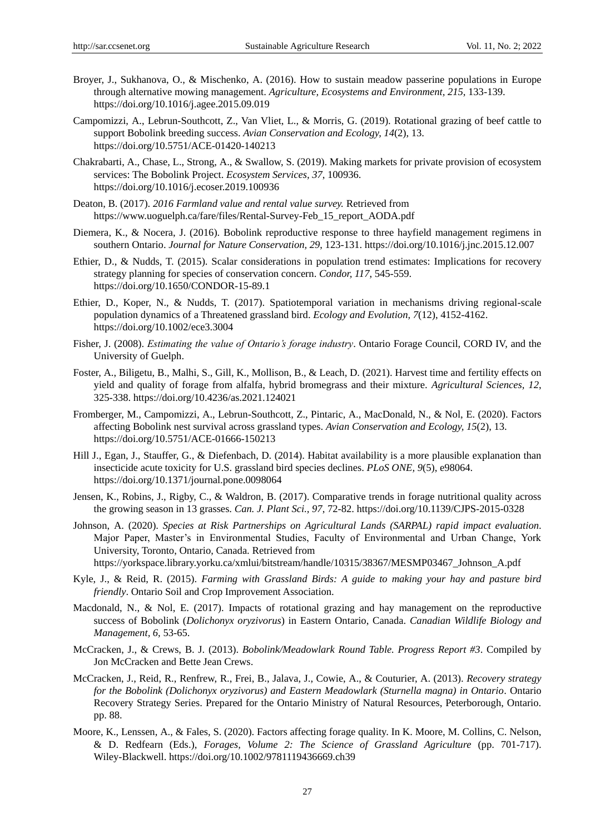- Broyer, J., Sukhanova, O., & Mischenko, A. (2016). How to sustain meadow passerine populations in Europe through alternative mowing management. *Agriculture, Ecosystems and Environment, 215*, 133-139. https://doi.org/10.1016/j.agee.2015.09.019
- Campomizzi, A., Lebrun-Southcott, Z., Van Vliet, L., & Morris, G. (2019). Rotational grazing of beef cattle to support Bobolink breeding success. *Avian Conservation and Ecology, 14*(2), 13. https://doi.org/10.5751/ACE-01420-140213
- Chakrabarti, A., Chase, L., Strong, A., & Swallow, S. (2019). Making markets for private provision of ecosystem services: The Bobolink Project. *Ecosystem Services, 37*, 100936. https://doi.org/10.1016/j.ecoser.2019.100936
- Deaton, B. (2017). *2016 Farmland value and rental value survey.* Retrieved from https://www.uoguelph.ca/fare/files/Rental-Survey-Feb\_15\_report\_AODA.pdf
- Diemera, K., & Nocera, J. (2016). Bobolink reproductive response to three hayfield management regimens in southern Ontario. *Journal for Nature Conservation, 29*, 123-131. https://doi.org/10.1016/j.jnc.2015.12.007
- Ethier, D., & Nudds, T. (2015). Scalar considerations in population trend estimates: Implications for recovery strategy planning for species of conservation concern. *Condor, 117*, 545-559. https://doi.org/10.1650/CONDOR-15-89.1
- Ethier, D., Koper, N., & Nudds, T. (2017). Spatiotemporal variation in mechanisms driving regional-scale population dynamics of a Threatened grassland bird. *Ecology and Evolution, 7*(12), 4152-4162. https://doi.org/10.1002/ece3.3004
- Fisher, J. (2008). *Estimating the value of Ontario's forage industry*. Ontario Forage Council, CORD IV, and the University of Guelph.
- Foster, A., Biligetu, B., Malhi, S., Gill, K., Mollison, B., & Leach, D. (2021). Harvest time and fertility effects on yield and quality of forage from alfalfa, hybrid bromegrass and their mixture. *Agricultural Sciences, 12*, 325-338. https://doi.org/10.4236/as.2021.124021
- Fromberger, M., Campomizzi, A., Lebrun-Southcott, Z., Pintaric, A., MacDonald, N., & Nol, E. (2020). Factors affecting Bobolink nest survival across grassland types. *Avian Conservation and Ecology, 15*(2), 13. https://doi.org/10.5751/ACE-01666-150213
- Hill J., Egan, J., Stauffer, G., & Diefenbach, D. (2014). Habitat availability is a more plausible explanation than insecticide acute toxicity for U.S. grassland bird species declines. *PLoS ONE, 9*(5), e98064. https://doi.org/10.1371/journal.pone.0098064
- Jensen, K., Robins, J., Rigby, C., & Waldron, B. (2017). Comparative trends in forage nutritional quality across the growing season in 13 grasses. *Can. J. Plant Sci., 97*, 72-82. https://doi.org/10.1139/CJPS-2015-0328
- Johnson, A. (2020). *Species at Risk Partnerships on Agricultural Lands (SARPAL) rapid impact evaluation*. Major Paper, Master's in Environmental Studies, Faculty of Environmental and Urban Change, York University, Toronto, Ontario, Canada. Retrieved from https://yorkspace.library.yorku.ca/xmlui/bitstream/handle/10315/38367/MESMP03467\_Johnson\_A.pdf
- Kyle, J., & Reid, R. (2015). *Farming with Grassland Birds: A guide to making your hay and pasture bird friendly*. Ontario Soil and Crop Improvement Association.
- Macdonald, N., & Nol, E. (2017). Impacts of rotational grazing and hay management on the reproductive success of Bobolink (*Dolichonyx oryzivorus*) in Eastern Ontario, Canada. *Canadian Wildlife Biology and Management, 6,* 53-65.
- McCracken, J., & Crews, B. J. (2013). *Bobolink/Meadowlark Round Table. Progress Report #3*. Compiled by Jon McCracken and Bette Jean Crews.
- McCracken, J., Reid, R., Renfrew, R., Frei, B., Jalava, J., Cowie, A., & Couturier, A. (2013). *Recovery strategy for the Bobolink (Dolichonyx oryzivorus) and Eastern Meadowlark (Sturnella magna) in Ontario*. Ontario Recovery Strategy Series. Prepared for the Ontario Ministry of Natural Resources, Peterborough, Ontario. pp. 88.
- Moore, K., Lenssen, A., & Fales, S. (2020). Factors affecting forage quality. In K. Moore, M. Collins, C. Nelson, & D. Redfearn (Eds.), *Forages, Volume 2: The Science of Grassland Agriculture* (pp. 701-717). Wiley-Blackwell. https://doi.org/10.1002/9781119436669.ch39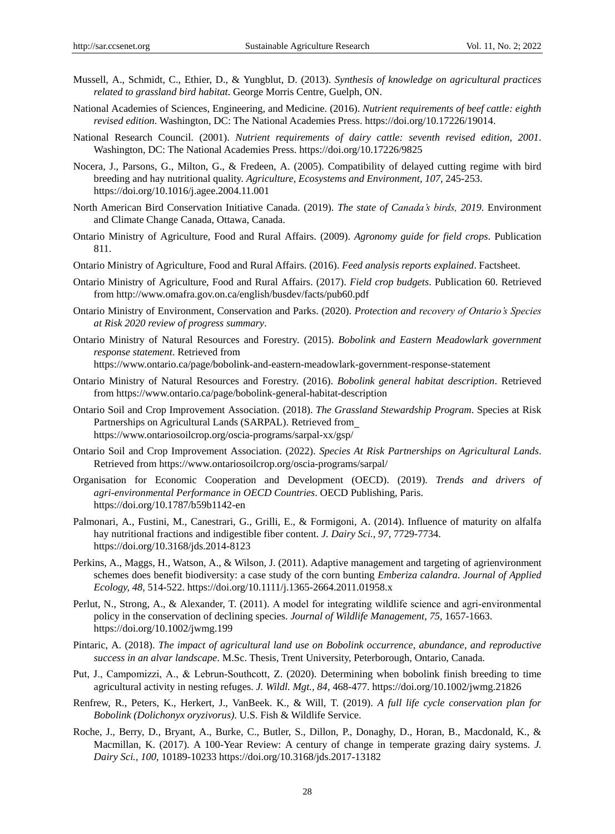- Mussell, A., Schmidt, C., Ethier, D., & Yungblut, D. (2013). *Synthesis of knowledge on agricultural practices related to grassland bird habitat*. George Morris Centre, Guelph, ON.
- National Academies of Sciences, Engineering, and Medicine. (2016). *Nutrient requirements of beef cattle: eighth revised edition*. Washington, DC: The National Academies Press. https://doi.org/10.17226/19014.
- National Research Council. (2001). *Nutrient requirements of dairy cattle: seventh revised edition, 2001*. Washington, DC: The National Academies Press. https://doi.org/10.17226/9825
- Nocera, J., Parsons, G., Milton, G., & Fredeen, A. (2005). Compatibility of delayed cutting regime with bird breeding and hay nutritional quality. *Agriculture, Ecosystems and Environment, 107,* 245-253. https://doi.org/10.1016/j.agee.2004.11.001
- North American Bird Conservation Initiative Canada. (2019). *The state of Canada's birds, 2019*. Environment and Climate Change Canada, Ottawa, Canada.
- Ontario Ministry of Agriculture, Food and Rural Affairs. (2009). *Agronomy guide for field crops*. Publication 811.
- Ontario Ministry of Agriculture, Food and Rural Affairs. (2016). *Feed analysis reports explained*. Factsheet.
- Ontario Ministry of Agriculture, Food and Rural Affairs. (2017). *Field crop budgets*. Publication 60. Retrieved from http://www.omafra.gov.on.ca/english/busdev/facts/pub60.pdf
- Ontario Ministry of Environment, Conservation and Parks. (2020). *Protection and recovery of Ontario's Species at Risk 2020 review of progress summary*.
- Ontario Ministry of Natural Resources and Forestry. (2015). *Bobolink and Eastern Meadowlark government response statement*. Retrieved from

https://www.ontario.ca/page/bobolink-and-eastern-meadowlark-government-response-statement

- Ontario Ministry of Natural Resources and Forestry. (2016). *Bobolink general habitat description*. Retrieved from https://www.ontario.ca/page/bobolink-general-habitat-description
- Ontario Soil and Crop Improvement Association. (2018). *The Grassland Stewardship Program*. Species at Risk Partnerships on Agricultural Lands (SARPAL). Retrieved from https://www.ontariosoilcrop.org/oscia-programs/sarpal-xx/gsp/
- Ontario Soil and Crop Improvement Association. (2022). *Species At Risk Partnerships on Agricultural Lands*. Retrieved from https://www.ontariosoilcrop.org/oscia-programs/sarpal/
- Organisation for Economic Cooperation and Development (OECD). (2019). *Trends and drivers of agri-environmental Performance in OECD Countries*. OECD Publishing, Paris. https://doi.org/10.1787/b59b1142-en
- Palmonari, A., Fustini, M., Canestrari, G., Grilli, E., & Formigoni, A. (2014). Influence of maturity on alfalfa hay nutritional fractions and indigestible fiber content. *J. Dairy Sci., 97,* 7729-7734. https://doi.org/10.3168/jds.2014-8123
- Perkins, A., Maggs, H., Watson, A., & Wilson, J. (2011). Adaptive management and targeting of agrienvironment schemes does benefit biodiversity: a case study of the corn bunting *Emberiza calandra*. *Journal of Applied Ecology, 48,* 514-522. https://doi.org/10.1111/j.1365-2664.2011.01958.x
- Perlut, N., Strong, A., & Alexander, T. (2011). A model for integrating wildlife science and agri-environmental policy in the conservation of declining species. *Journal of Wildlife Management, 75,* 1657-1663. https://doi.org/10.1002/jwmg.199
- Pintaric, A. (2018). *The impact of agricultural land use on Bobolink occurrence, abundance, and reproductive success in an alvar landscape*. M.Sc. Thesis, Trent University, Peterborough, Ontario, Canada.
- Put, J., Campomizzi, A., & Lebrun‐Southcott, Z. (2020). Determining when bobolink finish breeding to time agricultural activity in nesting refuges. *J. Wildl. Mgt., 84*, 468-477. https://doi.org/10.1002/jwmg.21826
- Renfrew, R., Peters, K., Herkert, J., VanBeek. K., & Will, T. (2019). *A full life cycle conservation plan for Bobolink (Dolichonyx oryzivorus)*. U.S. Fish & Wildlife Service.
- Roche, J., Berry, D., Bryant, A., Burke, C., Butler, S., Dillon, P., Donaghy, D., Horan, B., Macdonald, K., & Macmillan, K. (2017). A 100-Year Review: A century of change in temperate grazing dairy systems. *J. Dairy Sci., 100,* 10189-10233 https://doi.org/10.3168/jds.2017-13182